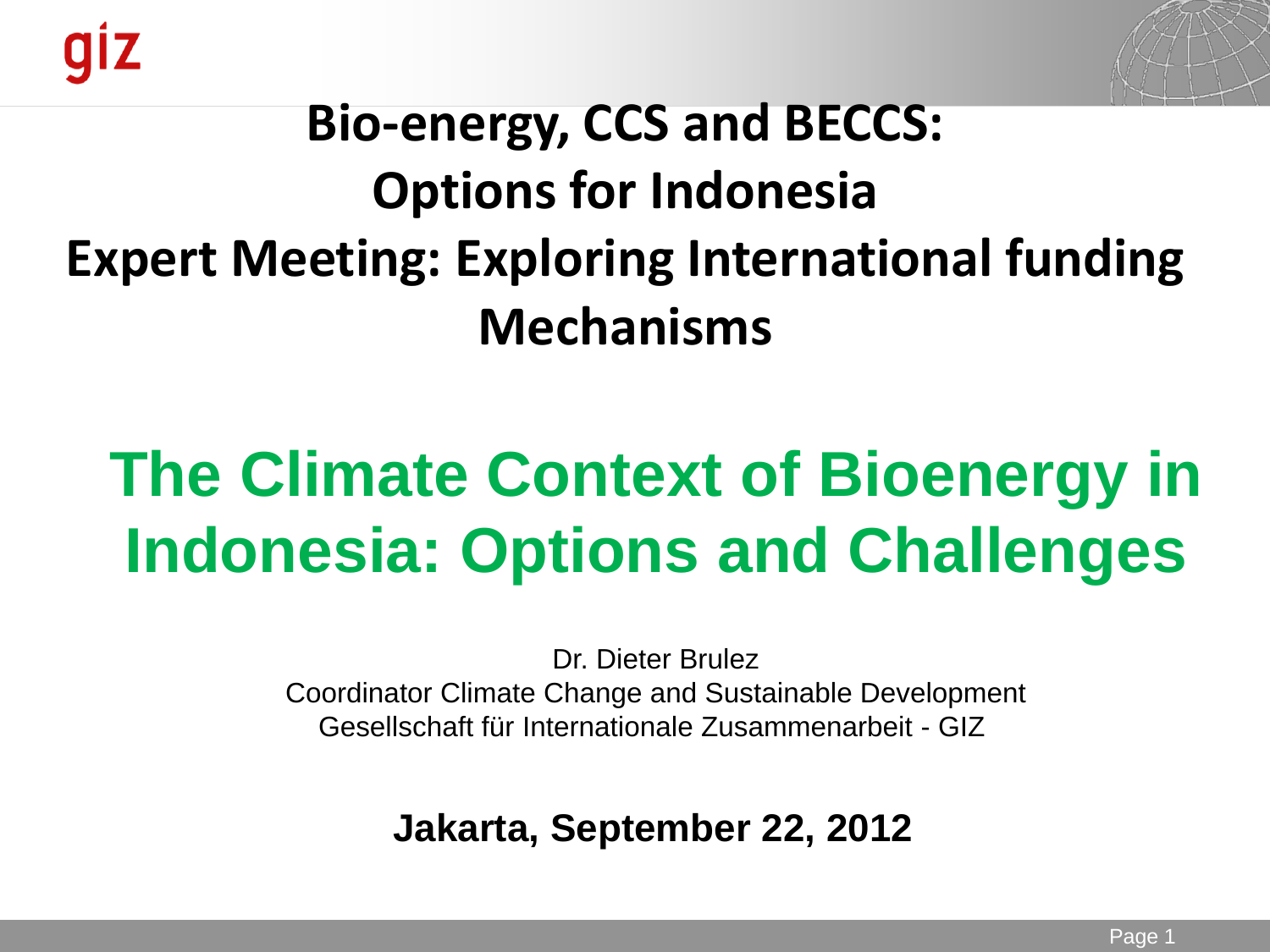

### **Bio-energy, CCS and BECCS: Options for Indonesia Expert Meeting: Exploring International funding Mechanisms**

# **The Climate Context of Bioenergy in Indonesia: Options and Challenges**

Dr. Dieter Brulez Coordinator Climate Change and Sustainable Development Gesellschaft für Internationale Zusammenarbeit - GIZ

**Jakarta, September 22, 2012**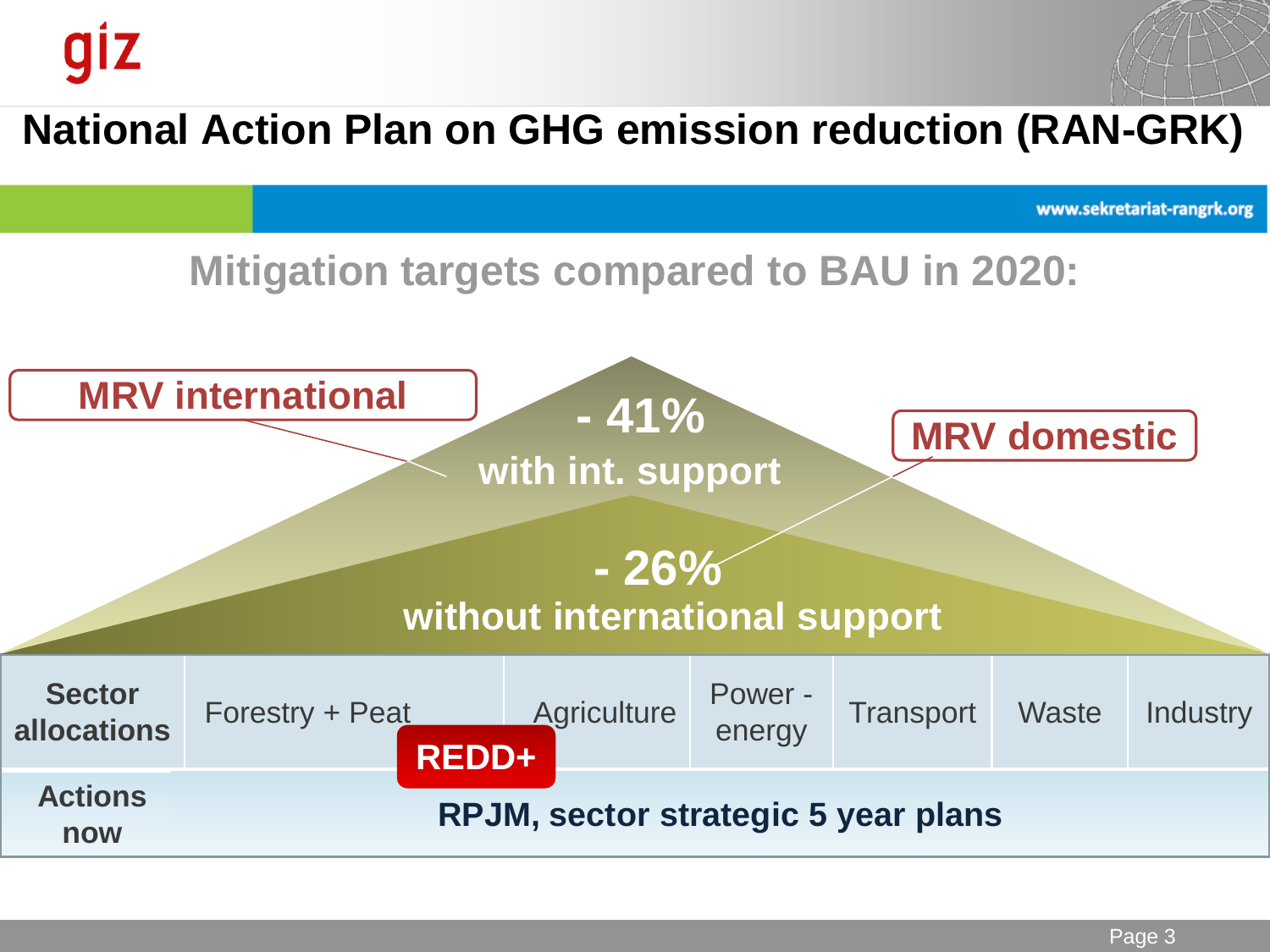### **National Action Plan on GHG emission reduction (RAN-GRK)**

www.sekretariat-rangrk.org

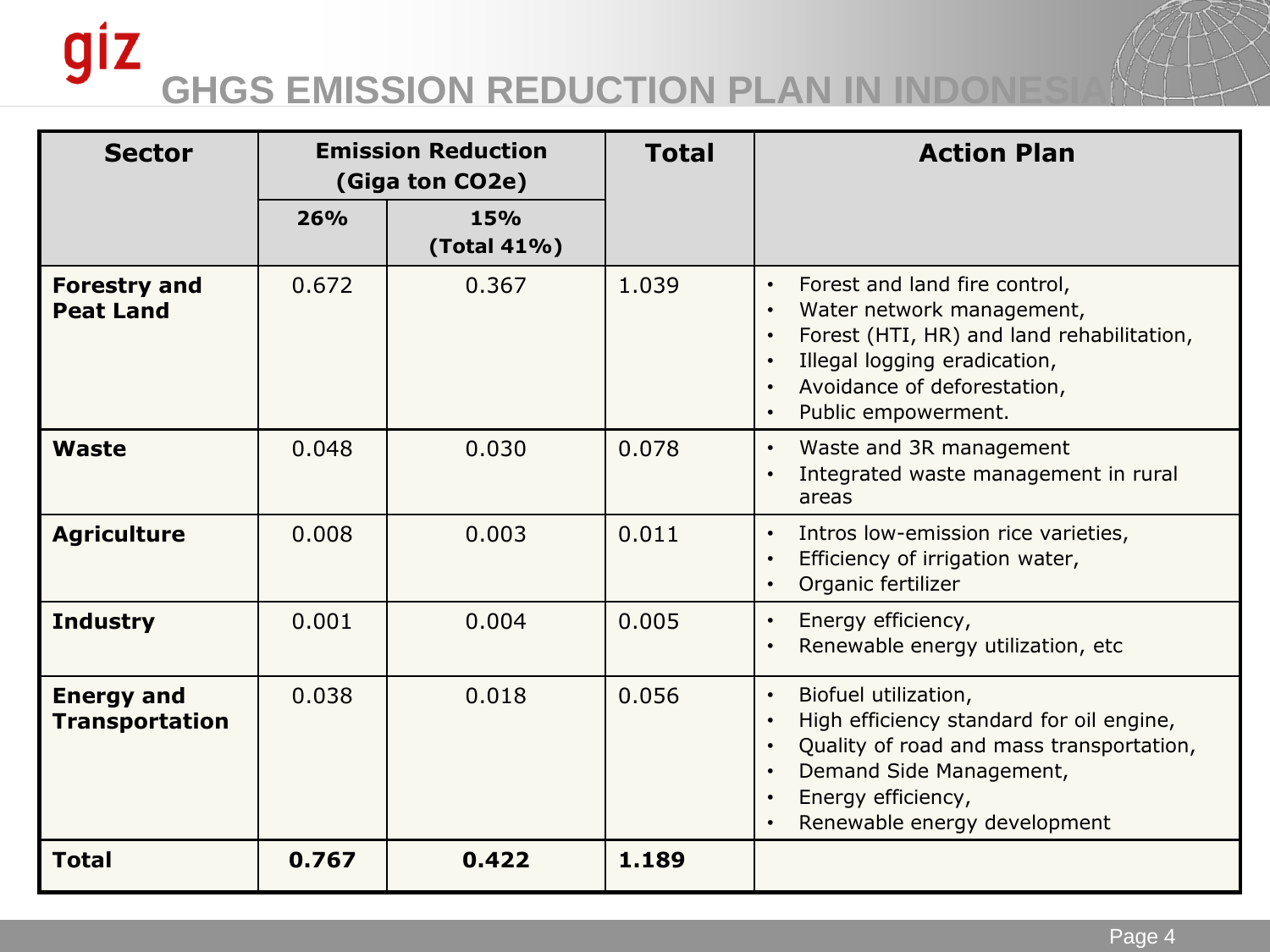### giz **GHGS EMISSION REDUCTION PLAN IN INDONES**

| <b>Sector</b>                              | <b>Emission Reduction</b><br>(Giga ton CO2e) |                    | <b>Total</b> | <b>Action Plan</b>                                                                                                                                                                                                                                             |
|--------------------------------------------|----------------------------------------------|--------------------|--------------|----------------------------------------------------------------------------------------------------------------------------------------------------------------------------------------------------------------------------------------------------------------|
|                                            | 26%                                          | 15%<br>(Total 41%) |              |                                                                                                                                                                                                                                                                |
| <b>Forestry and</b><br><b>Peat Land</b>    | 0.672                                        | 0.367              | 1.039        | Forest and land fire control,<br>$\bullet$<br>Water network management,<br>$\bullet$<br>Forest (HTI, HR) and land rehabilitation,<br>$\bullet$<br>Illegal logging eradication,<br>$\bullet$<br>Avoidance of deforestation,<br>Public empowerment.<br>$\bullet$ |
| Waste                                      | 0.048                                        | 0.030              | 0.078        | Waste and 3R management<br>$\bullet$<br>Integrated waste management in rural<br>$\bullet$<br>areas                                                                                                                                                             |
| <b>Agriculture</b>                         | 0.008                                        | 0.003              | 0.011        | Intros low-emission rice varieties,<br>$\bullet$<br>Efficiency of irrigation water,<br>$\bullet$<br>Organic fertilizer<br>$\bullet$                                                                                                                            |
| <b>Industry</b>                            | 0.001                                        | 0.004              | 0.005        | Energy efficiency,<br>$\bullet$<br>Renewable energy utilization, etc<br>$\bullet$                                                                                                                                                                              |
| <b>Energy and</b><br><b>Transportation</b> | 0.038                                        | 0.018              | 0.056        | Biofuel utilization,<br>$\bullet$<br>High efficiency standard for oil engine,<br>$\bullet$<br>Quality of road and mass transportation,<br>$\bullet$<br>Demand Side Management,<br>$\bullet$<br>Energy efficiency,<br>$\bullet$<br>Renewable energy development |
| <b>Total</b>                               | 0.767                                        | 0.422              | 1.189        |                                                                                                                                                                                                                                                                |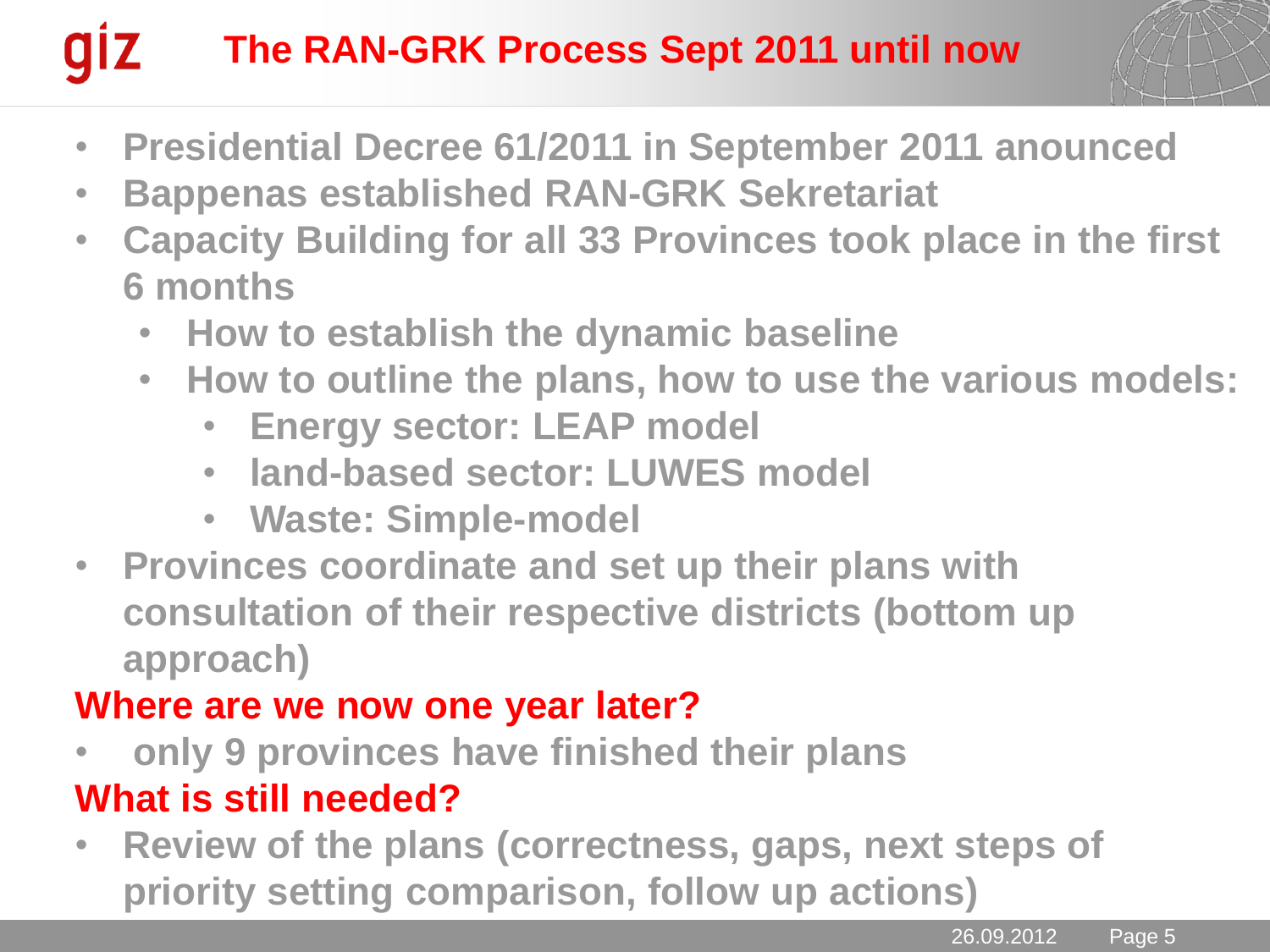#### **giz The RAN-GRK Process Sept 2011 until now**



- **Presidential Decree 61/2011 in September 2011 anounced**
- **Bappenas established RAN-GRK Sekretariat**
- **Capacity Building for all 33 Provinces took place in the first 6 months**
	- **How to establish the dynamic baseline**
	- **How to outline the plans, how to use the various models:** 
		- **Energy sector: LEAP model**
		- **land-based sector: LUWES model**
		- **Waste: Simple-model**
- **Provinces coordinate and set up their plans with consultation of their respective districts (bottom up approach)**

#### **Where are we now one year later?**

- **only 9 provinces have finished their plans What is still needed?**
- **Review of the plans (correctness, gaps, next steps of priority setting comparison, follow up actions)**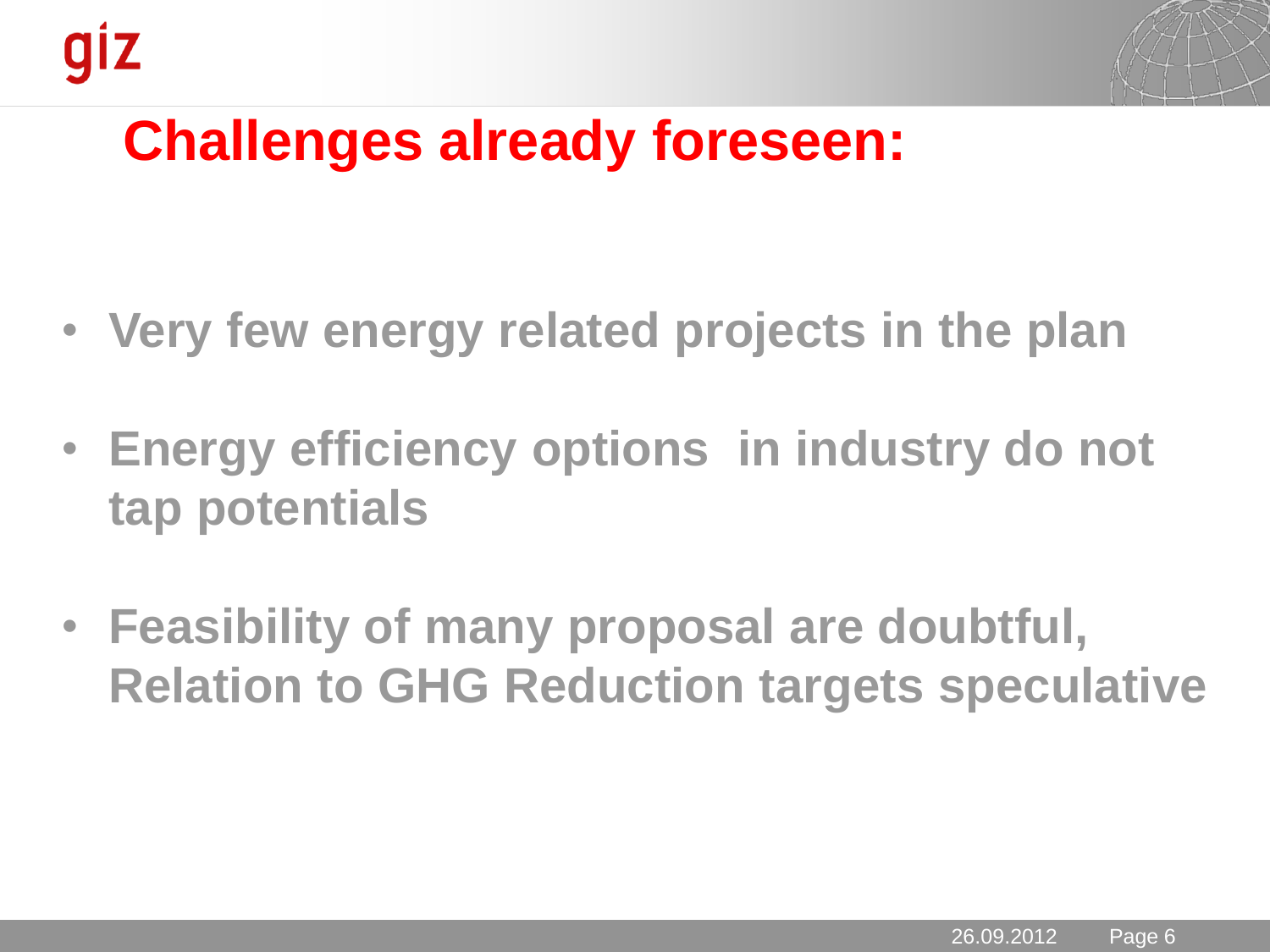

### **Challenges already foreseen:**

- **Very few energy related projects in the plan**
- **Energy efficiency options in industry do not tap potentials**
- **Feasibility of many proposal are doubtful, Relation to GHG Reduction targets speculative**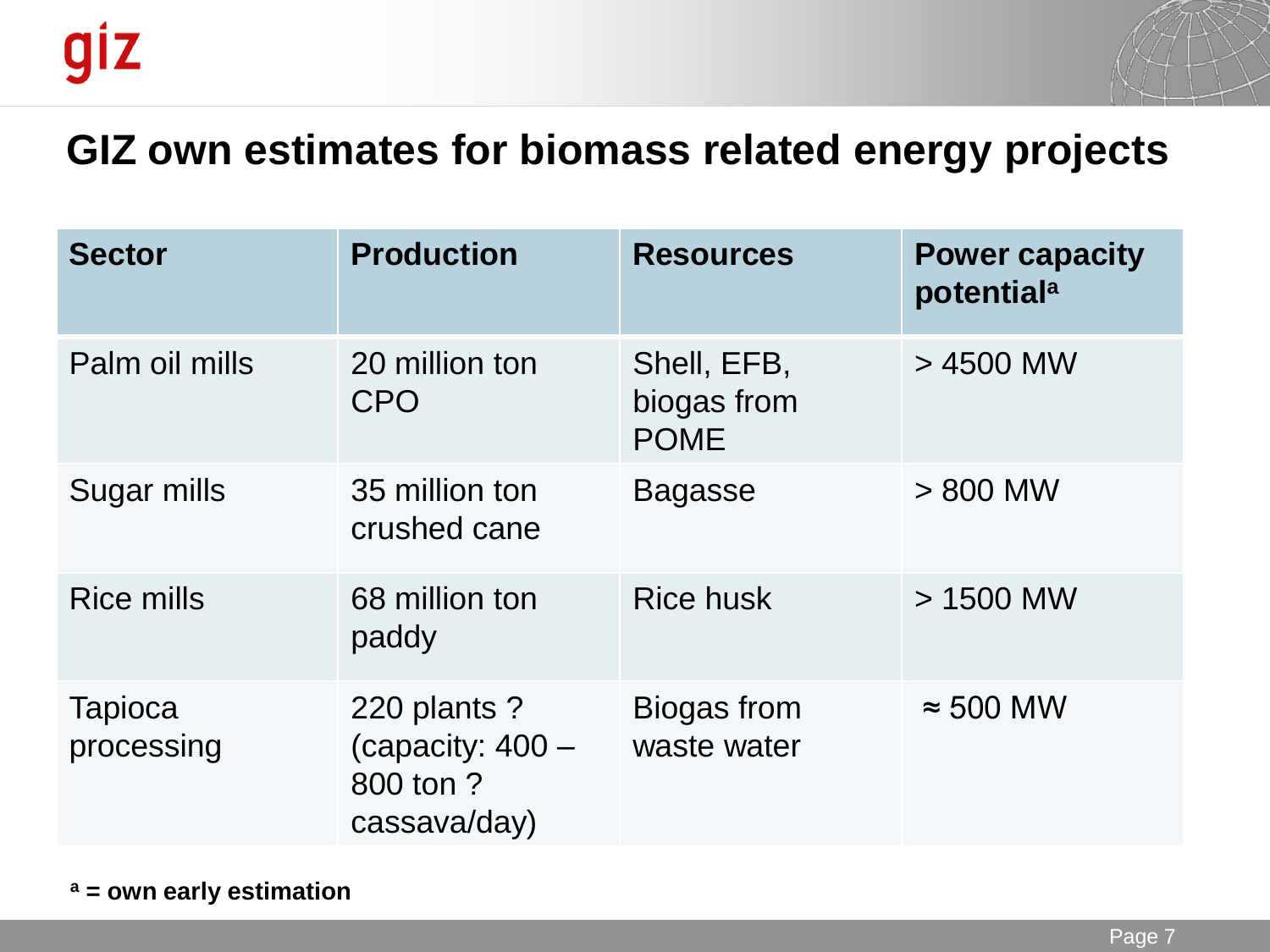

#### **GIZ own estimates for biomass related energy projects**

| <b>Sector</b>                | <b>Production</b>                                               | <b>Resources</b>                          | <b>Power capacity</b><br>potential <sup>a</sup> |
|------------------------------|-----------------------------------------------------------------|-------------------------------------------|-------------------------------------------------|
| Palm oil mills               | 20 million ton<br><b>CPO</b>                                    | Shell, EFB,<br>biogas from<br><b>POME</b> | > 4500 MW                                       |
| Sugar mills                  | 35 million ton<br>crushed cane                                  | <b>Bagasse</b>                            | $> 800$ MW                                      |
| <b>Rice mills</b>            | 68 million ton<br>paddy                                         | <b>Rice husk</b>                          | $>1500$ MW                                      |
| <b>Tapioca</b><br>processing | 220 plants ?<br>(capacity: $400 -$<br>800 ton ?<br>cassava/day) | Biogas from<br>waste water                | $\approx$ 500 MW                                |

**<sup>a</sup> = own early estimation**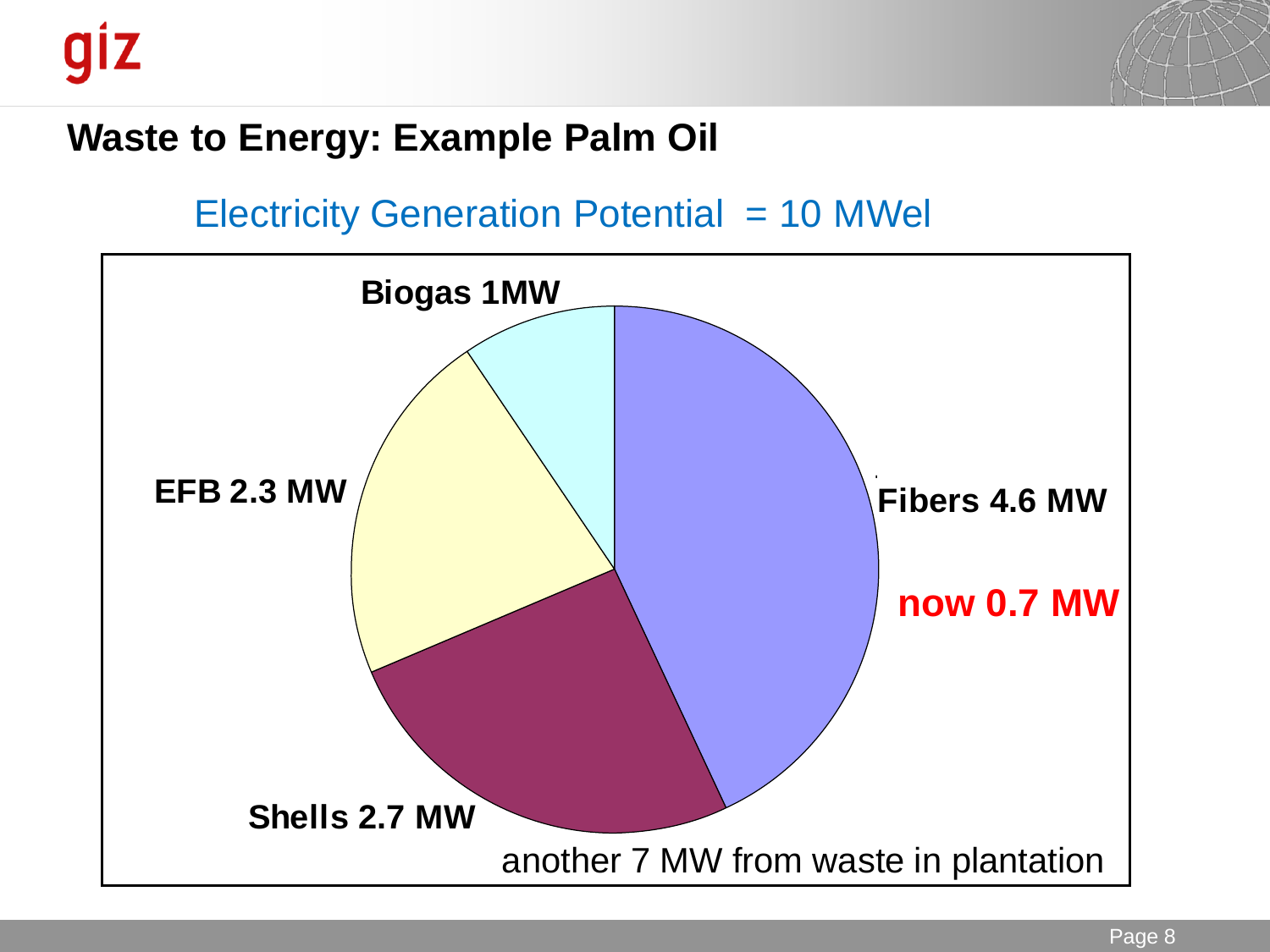

#### **Waste to Energy: Example Palm Oil**

#### Electricity Generation Potential = 10 MWel

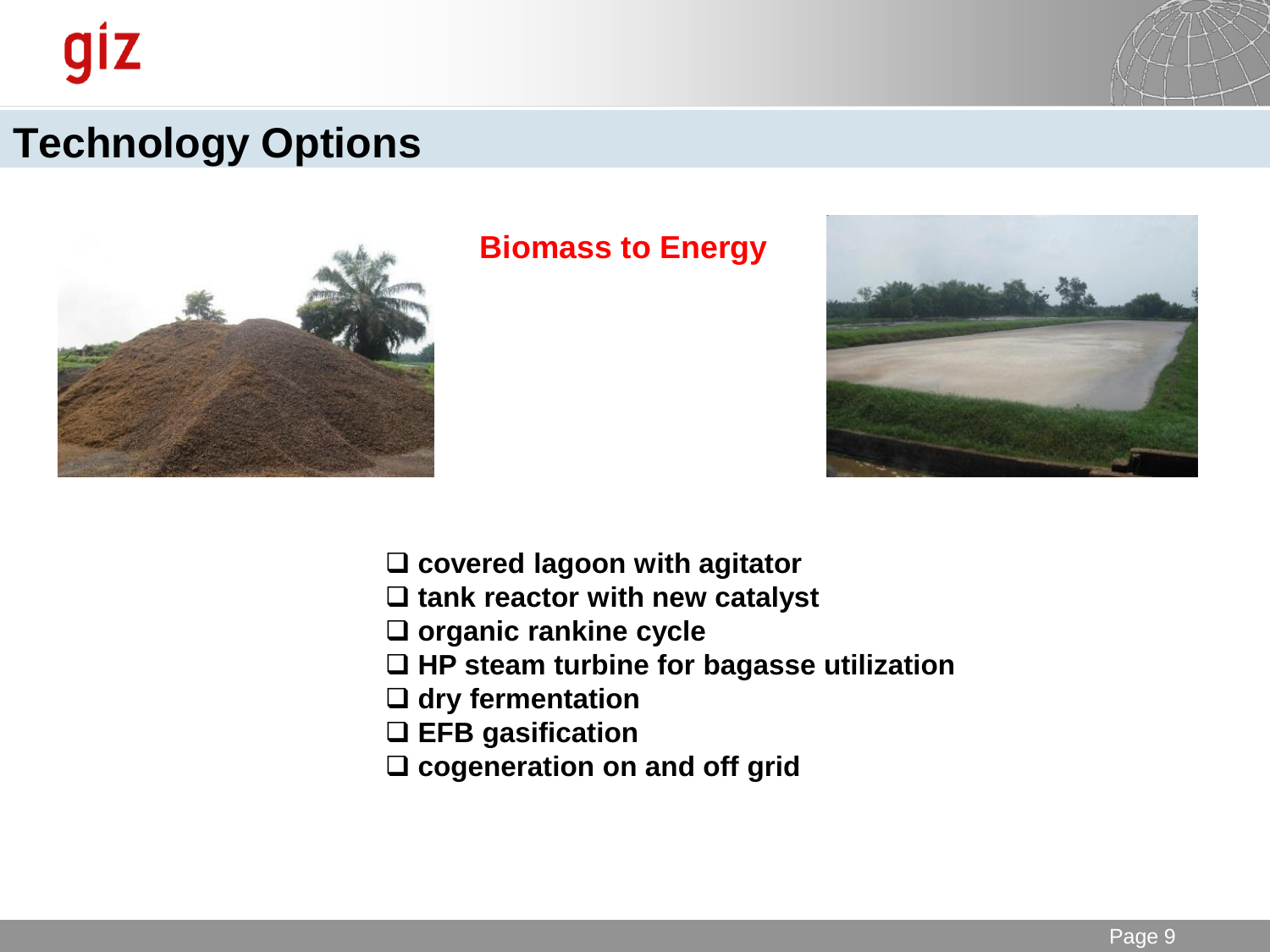

### **Technology Options**



#### **Biomass to Energy**



- **covered lagoon with agitator**
- **tank reactor with new catalyst**
- **organic rankine cycle**
- **HP steam turbine for bagasse utilization**
- **dry fermentation**
- **EFB gasification**
- **cogeneration on and off grid**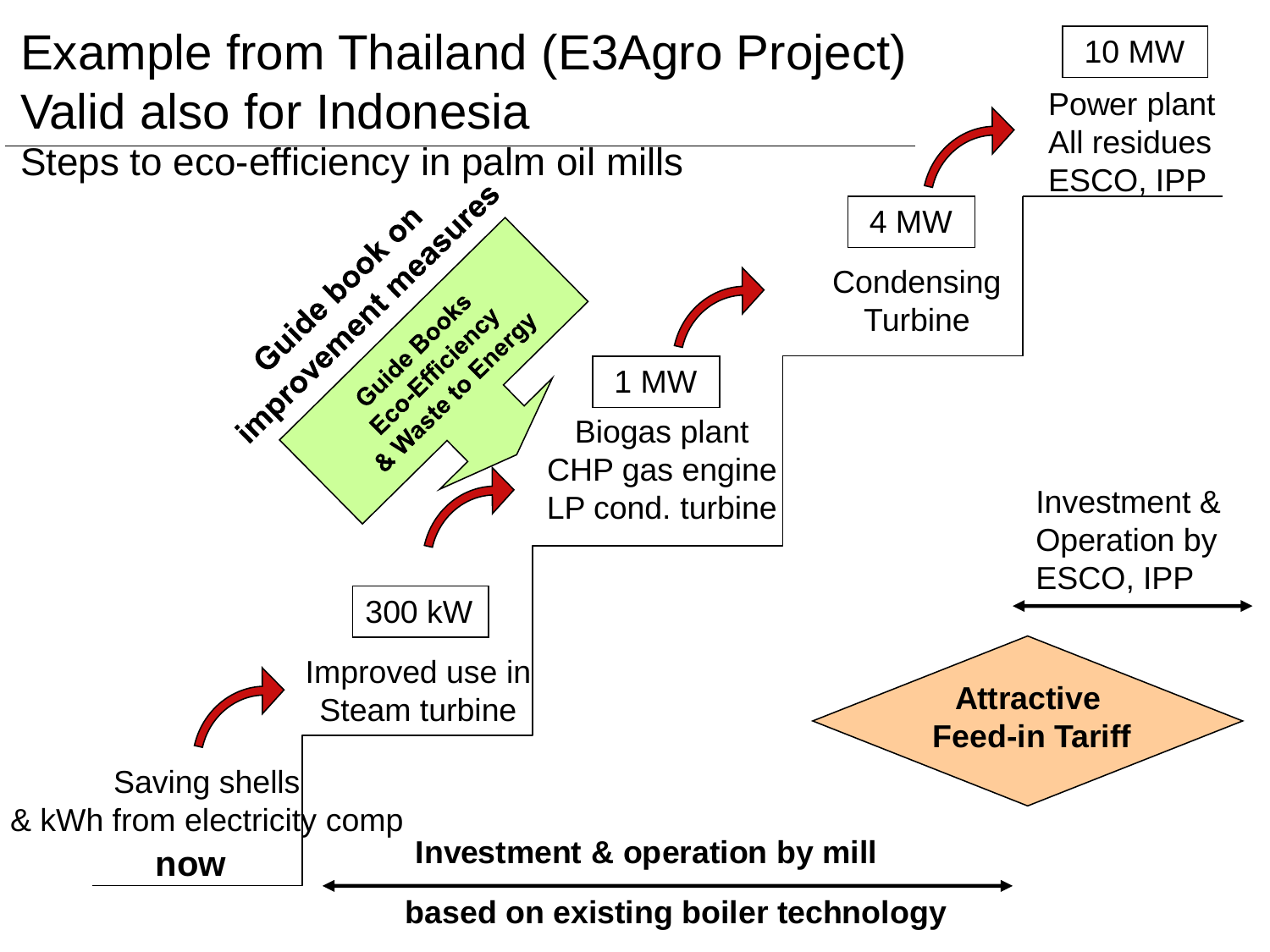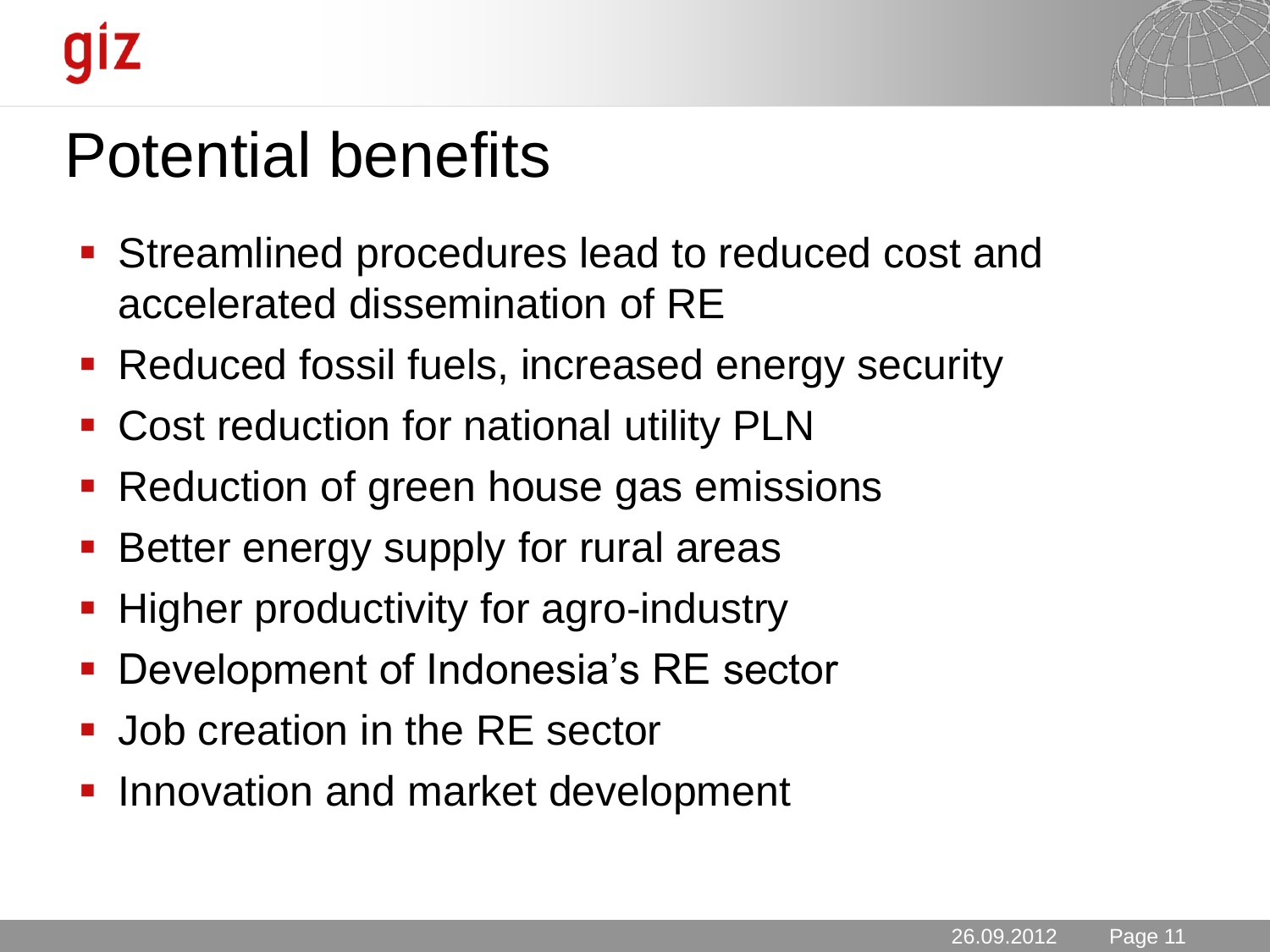

# Potential benefits

- Streamlined procedures lead to reduced cost and accelerated dissemination of RE
- **Reduced fossil fuels, increased energy security**
- Cost reduction for national utility PLN
- **Reduction of green house gas emissions**
- Better energy supply for rural areas
- **Higher productivity for agro-industry**
- **Development of Indonesia's RE sector**
- **Job creation in the RE sector**
- **Innovation and market development**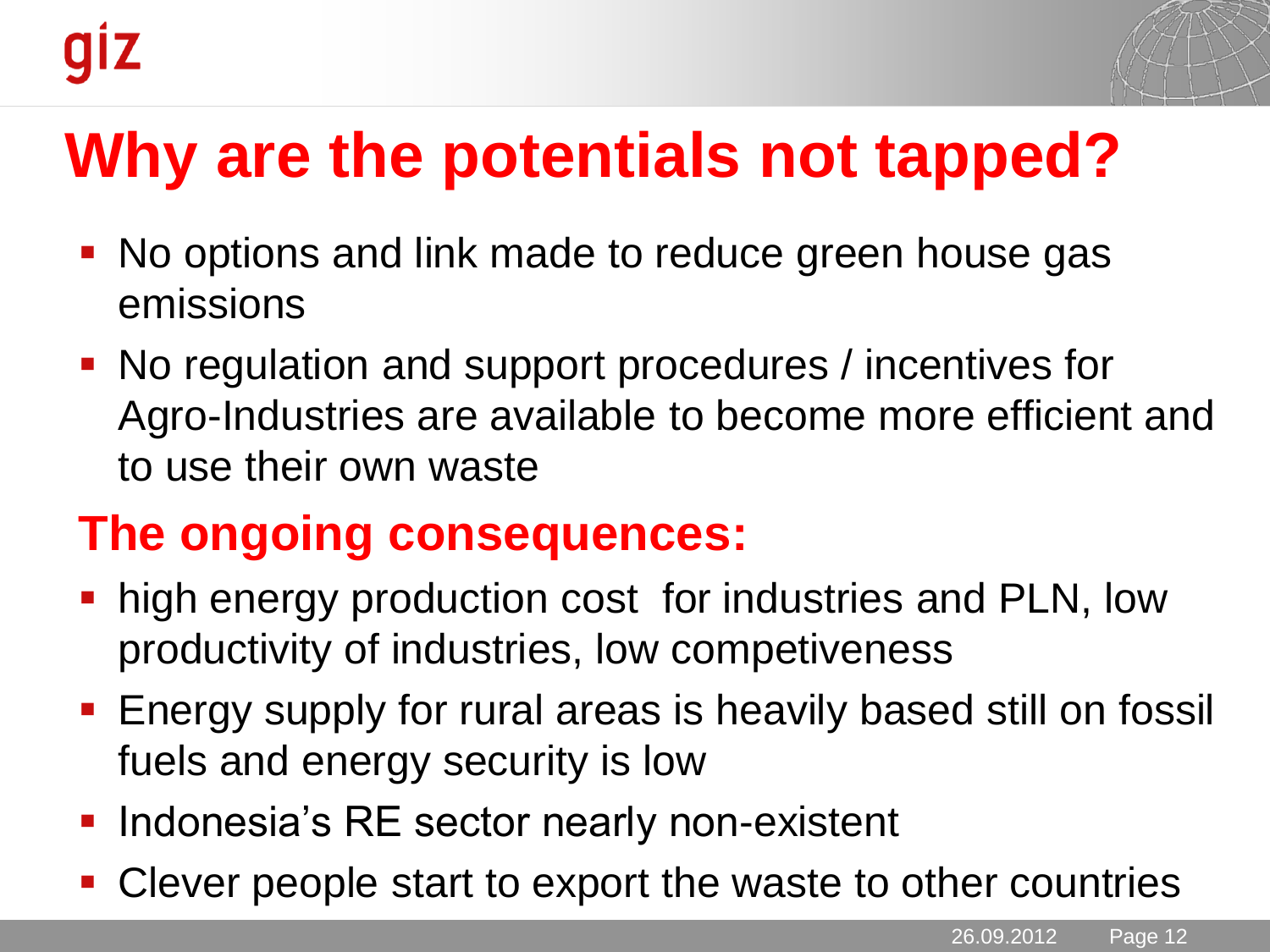# **Why are the potentials not tapped?**

- No options and link made to reduce green house gas emissions
- No regulation and support procedures / incentives for Agro-Industries are available to become more efficient and to use their own waste

### **The ongoing consequences:**

- **high energy production cost for industries and PLN, low** productivity of industries, low competiveness
- **Energy supply for rural areas is heavily based still on fossil** fuels and energy security is low
- **Indonesia's RE sector nearly non-existent**
- Clever people start to export the waste to other countries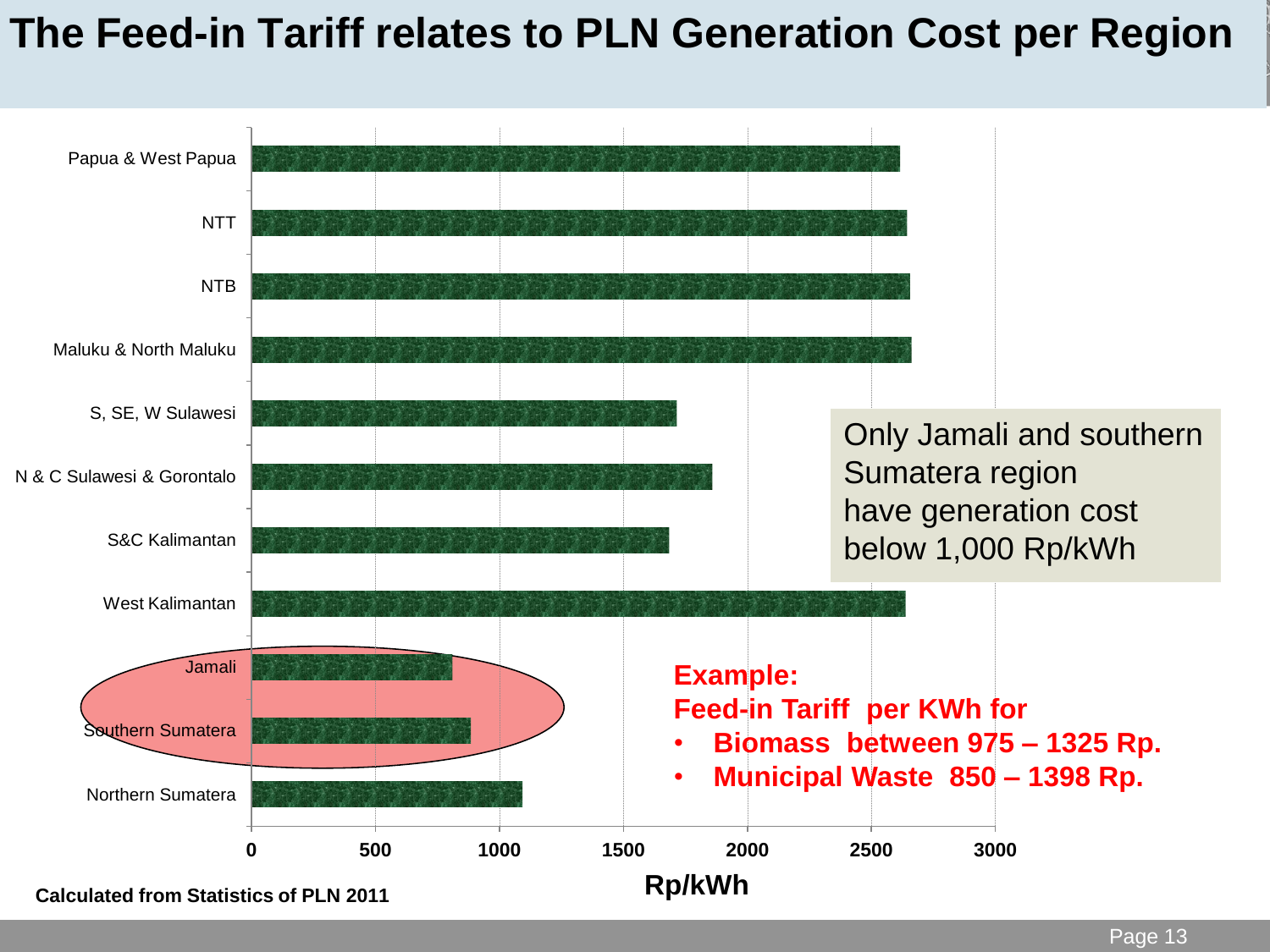#### **The Feed-in Tariff relates to PLN Generation Cost per Region**

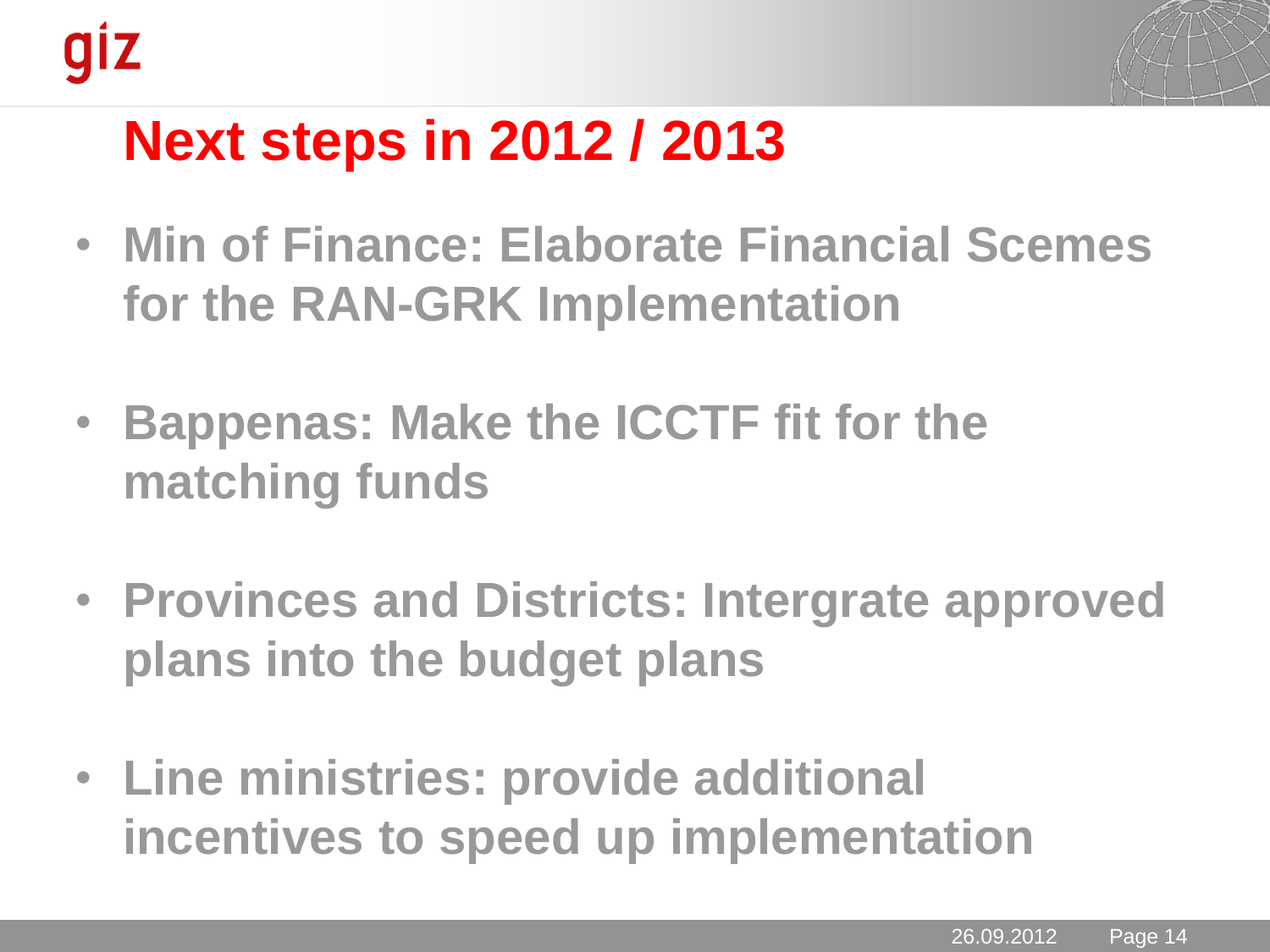

## **Next steps in 2012 / 2013**

- **Min of Finance: Elaborate Financial Scemes for the RAN-GRK Implementation**
- **Bappenas: Make the ICCTF fit for the matching funds**
- **Provinces and Districts: Intergrate approved plans into the budget plans**
- **Line ministries: provide additional incentives to speed up implementation**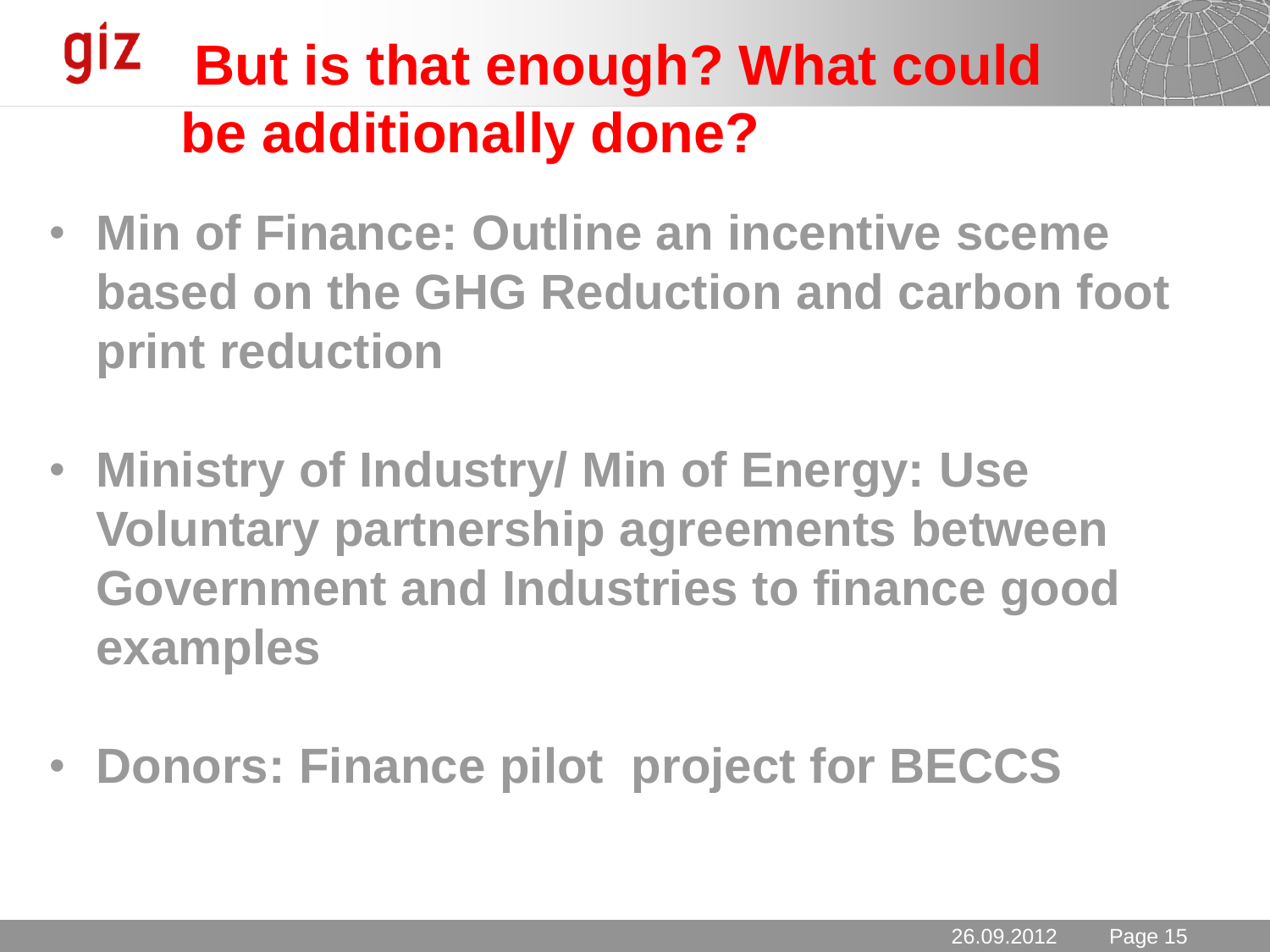### **giz But is that enough? What could be additionally done?**

- **Min of Finance: Outline an incentive sceme based on the GHG Reduction and carbon foot print reduction**
- **Ministry of Industry/ Min of Energy: Use Voluntary partnership agreements between Government and Industries to finance good examples**
- **Donors: Finance pilot project for BECCS**